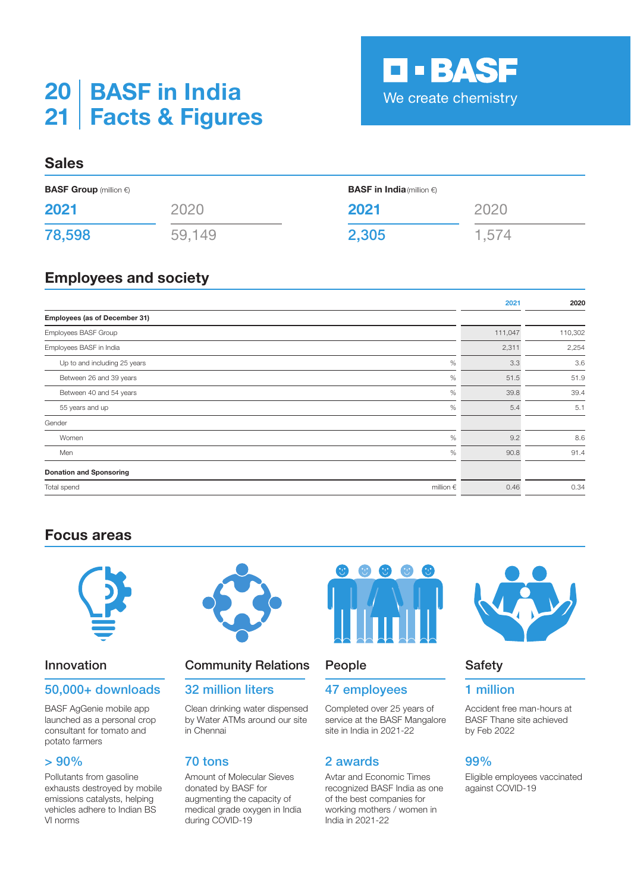# **BASF in India 20 Facts & Figures 21**

# **Sales**

| <b>BASF Group</b> (million $\epsilon$ ) |        | <b>BASF in India</b> (million $\epsilon$ ) |       |
|-----------------------------------------|--------|--------------------------------------------|-------|
| 2021                                    | 2020   | 2021                                       | 2020  |
| 78,598                                  | 59,149 | 2,305                                      | 1,574 |

# **Employees and society**

|                                      | 2021    | 2020    |
|--------------------------------------|---------|---------|
| Employees (as of December 31)        |         |         |
| Employees BASF Group                 | 111,047 | 110,302 |
| Employees BASF in India              | 2,311   | 2,254   |
| $\%$<br>Up to and including 25 years | 3.3     | 3.6     |
| $\%$<br>Between 26 and 39 years      | 51.5    | 51.9    |
| $\%$<br>Between 40 and 54 years      | 39.8    | 39.4    |
| $\%$<br>55 years and up              | 5.4     | 5.1     |
| Gender                               |         |         |
| $\%$<br>Women                        | 9.2     | 8.6     |
| $\%$<br>Men                          | 90.8    | 91.4    |
| <b>Donation and Sponsoring</b>       |         |         |
| Total spend<br>million $\epsilon$    | 0.46    | 0.34    |

# **Focus areas**



## 50,000+ downloads 32 million liters 47 employees 1 million

BASF AgGenie mobile app launched as a personal crop consultant for tomato and potato farmers

Pollutants from gasoline exhausts destroyed by mobile emissions catalysts, helping vehicles adhere to Indian BS VI norms



# **Innovation Community Relations** People **Safety**

Clean drinking water dispensed by Water ATMs around our site in Chennai

Amount of Molecular Sieves donated by BASF for augmenting the capacity of medical grade oxygen in India during COVID-19



Completed over 25 years of service at the BASF Mangalore site in India in 2021-22

## $> 90\%$  70 tons 2 awards 99%

Avtar and Economic Times recognized BASF India as one of the best companies for working mothers / women in India in 2021-22



**D-BASF** 

We create chemistry

Accident free man-hours at BASF Thane site achieved by Feb 2022

Eligible employees vaccinated against COVID-19